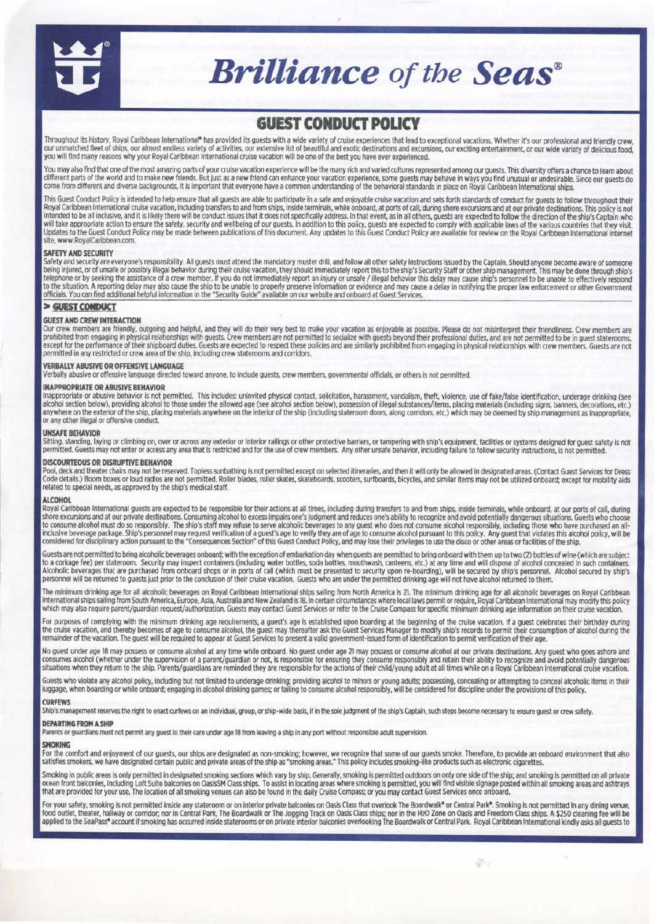

# **Brilliance** of the Seas<sup>®</sup>

# **GUEST CONDUCT POLICY**

Throughout its history, Royal Caribbean International\* has provided its guests with a wide variety of cruise experiences that lead to exceptional vacations. Whether it's our professional and friendly crew, our unmatched fleet of ships, our almost endless variety of activities, our extensive list of beautiful and exotic destinations and excursions, our exciting entertainment, or our wide variety of delicious food, you will find many reasons why your Royal Caribbean International cruise vacation will be one of the best you have ever experienced.

You may also find that one of the most amazing parts of your cruise vacation experience will be the many rich and varied cultures represented among our guests. This diversity offers a chance to learn about different parts of the world and to make new friends. But just as a new friend can enhance your vacation experience, some guests may behave in ways you find unusual or undestrable. Since our guests do come from different a

This Guest Conduct Policy is intended to help ensure that all guests are able to participate in a safe and enjoyable cruise vacation and sets forth standards of conduct for guests to follow throughout their<br>Royal Caribbean intended to be all inclusive, and it is likely there will be conduct issues that it does not specifically address. In that event, as in all others, guests are expected to follow the direction of the ship's Captain who will take appropriate action to ensure the safety, security and wellbeing of our guests. In addition to this policy, guests are expected to comply with applicable laws of the various countries that they visit. Updates to the Guest Conduct Policy may be made between publications of this document. Any updates to this Guest Conduct Policy are available for review on the Royal Caribbean International internet site, www.RoyalCaribbean.com.

#### **SAFETY AND SECURITY**

Safety and security are everyone's responsibility. All guests must attend the mandatory muster drill, and follow all other safety instructions issued by the Captain. Should anyone become aware of someone being injured, or of unsafe or possibly illegal behavior during their cruise vacation, they should immediately report this to the ship's Security Staff or other ship management. This may be done through ship's telephone or to the situation. A reporting delay may also cause the ship to be unable to properly preserve information or evidence and may cause a delay in notifying the proper law enforcement or other Government officials. You can find additional helpful information in the "Security Guide" available on our website and onboard at Guest Services.

#### > GUEST CONDUCT

# **GUEST AND CREW INTERACTION**

Our crew members are friendly, outgoing and helpful, and they will do their very best to make your vacation as enjoyable as possible. Please do not misinterpret their friendliness. Crew members are prohibited from engaging except for the performance of their shipboard duties. Guests are expected to respect these policies and are similarly prohibited from engaging in physical relationships with crew members. Guests are not permitted in any restricted or crew area of the ship, including crew staterooms and corridors.

# **VERBALLY ABUSIVE OR OFFENSIVE LANGUAGE**

Verbally abusive or offensive language directed toward anyone, to include guests, crew members, governmental officials, or others is not permitted.

### **INAPPROPRIATE OR ABUSIVE BEHAVIOR**

Inappropriate or abusive behavior is not permitted. This includes: uninvited physical contact, solicitation, harassment, vandalism, theft, violence, use of fake/false identification, underage drinking (see alcobol section anywhere on the exterior of the ship, placing materials anywhere on the interior of the ship (including stateroom doors, along corridors, etc.) which may be deemed by ship management as inappropriate, or any other illegal or offensive conduct.

#### **UNSAFE BEHAVIOR**

Sitting, standing, laying or climbing on, over or across any exterior or interior railings or other protective barriers, or tampering with ship's equipment, facilities or systems designed for guest safety is not permitted. Guests may not enter or access any area that is restricted and for the use of crew members. Any other unsafe behavior, including failure to follow security instructions, is not permitted.

#### **DISCOURTEOUS OR DISRUPTIVE BEHAVIOR**

Pool, deck and theater chairs may not be reserved. Topless sunbathing is not permitted except on selected itineraries, and then it will only be allowed in designated areas. (Contact Guest Services for Dress Code, deck and related to special needs, as approved by the ship's medical staff.

#### **ALCOHOL**

Royal Caribbean International guests are expected to be responsible for their actions at all times, including during transfers to and from ships, inside terminals, while onboard, at our ports of call, during shore excursions and at our private destinations. Consuming alcohol to excess impairs one's judgment and reduces one's ability to recognize and avoid potentially dangerous situations. Guests who choose to consume alcohol m inclusive beverage package. Ship's personal may request rerification of a guest's age to verify they are of age to consume alcohol pursuant to this policy. Any quest that violates this alcohol policy, will be inclusive bev

Guests are not permitted to bring alcoholic beverages onboard; with the exception of embarkation day when guests are permitted to bring onboard with them up to two (2) bottles of wine (which are subject to a corkage fee) per stateroom. Security may inspect containers (including water bottles, soda bottles, mouthwash, canteens, etc.) at any time and will dispose of alcohol concealed in such containers.<br>Alcoholic beverages personnel will be returned to guests just prior to the conclusion of their cruise vacation. Guests who are under the permitted drinking age will not have alcohol returned to them.

The minimum drinking age for all alcoholic beverages on Royal Caribbean International ships sailing from North America is 21. The minimum drinking age for all alcoholic beverages on Royal Caribbean International ships sailing from South America, Europe, Asia, Australia and New Zealand is 18. In certain circumstances where local laws permit or require, Royal Caribbean International may modify this policy which may also require parent/guardian request/authorization. Guests may contact Guest Services or refer to the Cruise Compass for specific minimum drinking age information on their cruise vacation.

For purposes of complying with the minimum drinking age requirements, a guest's age is established upon boarding at the beginning of the cruise vacation. If a guest celebrates their birthday during<br>the cruise vacation, and

No quest under age 18 may possess or consume alcohol at any time while onboard. No guest under age 21 may possess or consume alcohol at our private destinations. Any guest who goes ashore and consumes alcohol (whether under the supervision of a parent/guardian or not, is responsible for ensuring they consume responsibly and retain their ability to recognize and avoid potentially dangerous situations when they return to the ship. Parents/guardians are reminded they are responsible for the actions of their child/young adult at all times while on a Royal Caribbean International cruise vacation.

Guests who violate any alcohol policy, including but not limited to underage drinking; providing alcohol to minors or young adults; possessing, concealing or attempting to conceal alcoholic items in their luggage, when boarding or while onboard; engaging in alcohol drinking games; or failing to consume alcohol responsibly, will be considered for discipline under the provisions of this policy.

#### **CURFEWS**

Ship's management reserves the right to enact curfews on an individual, group, or ship-wide basis, if in the sole judgment of the ship's Captain, such steps become necessary to ensure guest or crew safety.

# **DEPARTING FROM A SHIP**

Parents or guardians must not permit any quest in their care under age 18 from leaving a ship in any port without responsible adult supervision.

# **SMOKING**

For the comfort and enjoyment of our guests, our ships are designated as non-smoking; however, we recognize that some of our guests smoke. Therefore, to provide an onboard environment that also satisfies smokers, we have d

Smoking in public areas is only permitted in designated smoking sections which vary by ship. Generally, smoking is permitted outdoors on only one side of the ship; and smoking is permitted on all private<br>ocean front balcon that are provided for your use. The location of all smoking venues can also be found in the daily Cruise Compass; or you may contact Guest Services once onboard.

For your safety, smoking is not permitted inside any stateroom or on interior private balconies on Oasis Class that overlook The Boardwalk® or Central Park®. Smoking is not permitted in any dining venue, food outlet, theater, hallway or corridor; nor in Central Park, The Boardwalk or The Jogging Track on Oasis Class ships; nor in the H2O Zone on Oasis and Freedom Class ships. A \$250 cleaning fee will be applied to the SeaP